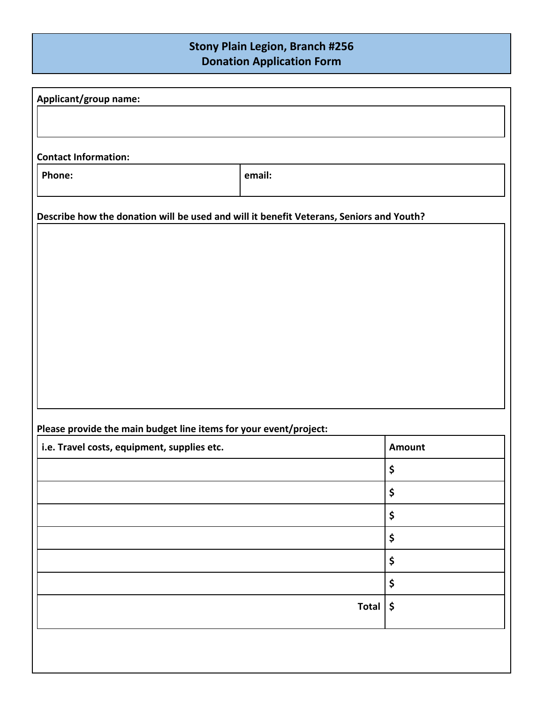## **Stony Plain Legion, Branch #256 Donation Application Form**

| Applicant/group name:                                                                   |              |        |
|-----------------------------------------------------------------------------------------|--------------|--------|
|                                                                                         |              |        |
|                                                                                         |              |        |
| <b>Contact Information:</b>                                                             |              |        |
| Phone:                                                                                  | email:       |        |
| Describe how the donation will be used and will it benefit Veterans, Seniors and Youth? |              |        |
|                                                                                         |              |        |
|                                                                                         |              |        |
|                                                                                         |              |        |
|                                                                                         |              |        |
|                                                                                         |              |        |
|                                                                                         |              |        |
|                                                                                         |              |        |
|                                                                                         |              |        |
|                                                                                         |              |        |
| Please provide the main budget line items for your event/project:                       |              |        |
| i.e. Travel costs, equipment, supplies etc.                                             |              | Amount |
|                                                                                         |              | \$     |
|                                                                                         |              | \$     |
|                                                                                         |              | \$     |
|                                                                                         |              | \$     |
|                                                                                         |              | \$     |
|                                                                                         |              | \$     |
|                                                                                         | <b>Total</b> | \$     |
|                                                                                         |              |        |